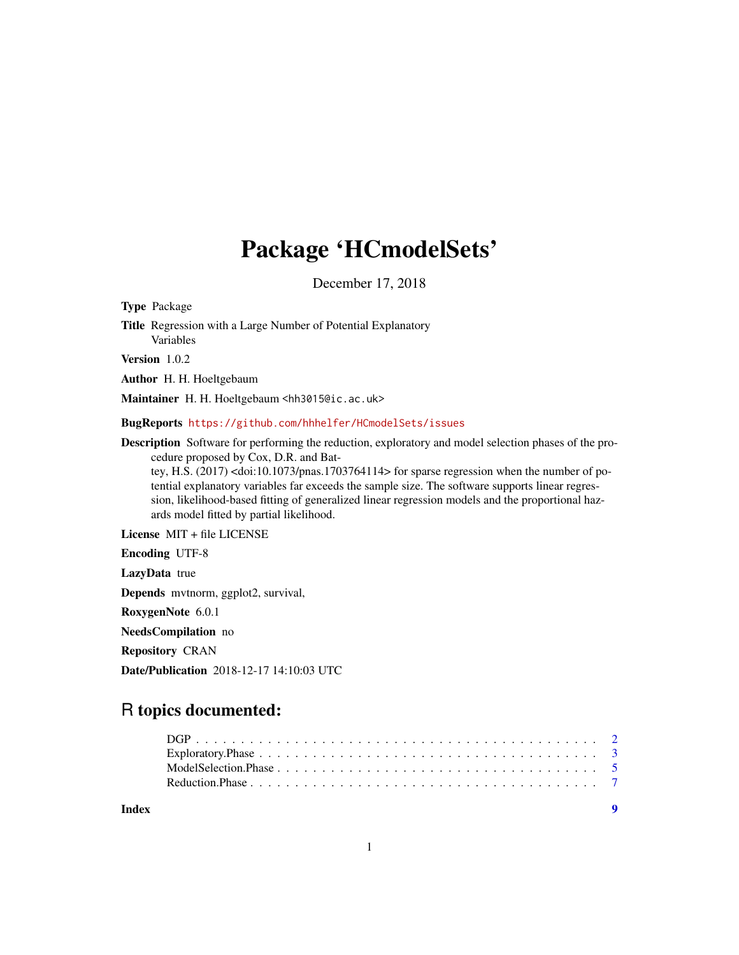## Package 'HCmodelSets'

December 17, 2018

Title Regression with a Large Number of Potential Explanatory Variables Version 1.0.2 Author H. H. Hoeltgebaum Maintainer H. H. Hoeltgebaum <hh3015@ic.ac.uk> BugReports <https://github.com/hhhelfer/HCmodelSets/issues> Description Software for performing the reduction, exploratory and model selection phases of the procedure proposed by Cox, D.R. and Battey, H.S. (2017) <doi:10.1073/pnas.1703764114> for sparse regression when the number of potential explanatory variables far exceeds the sample size. The software supports linear regression, likelihood-based fitting of generalized linear regression models and the proportional hazards model fitted by partial likelihood. License MIT + file LICENSE Encoding UTF-8 LazyData true Depends mvtnorm, ggplot2, survival,

RoxygenNote 6.0.1

<span id="page-0-0"></span>Type Package

NeedsCompilation no

Repository CRAN

Date/Publication 2018-12-17 14:10:03 UTC

### R topics documented:

**Index** [9](#page-8-0)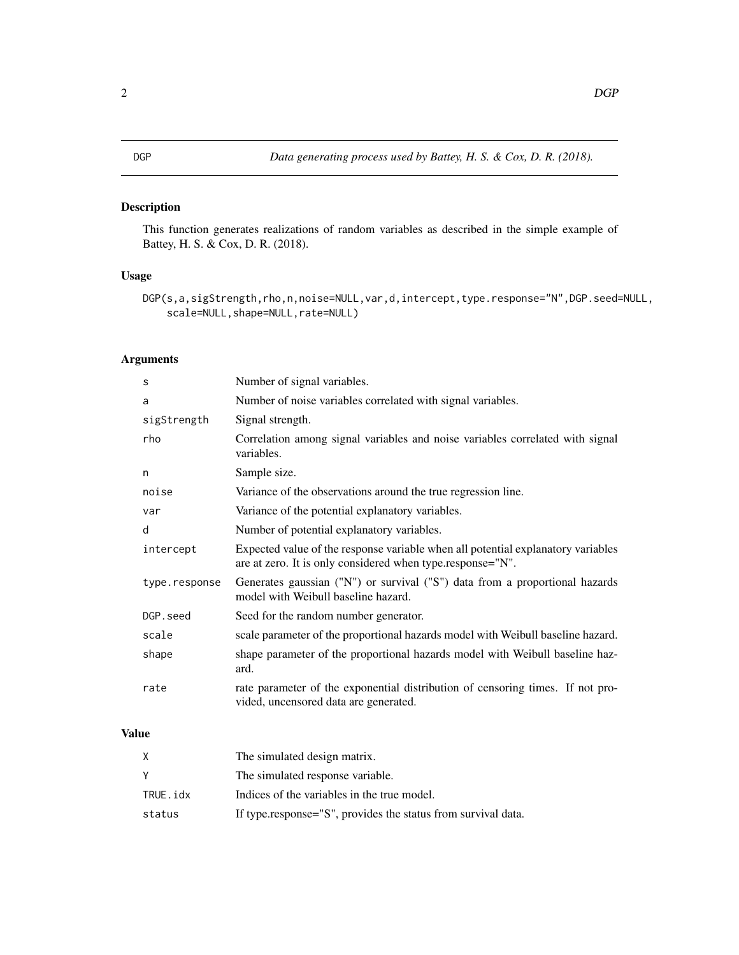#### <span id="page-1-0"></span>Description

This function generates realizations of random variables as described in the simple example of Battey, H. S. & Cox, D. R. (2018).

#### Usage

```
DGP(s,a,sigStrength,rho,n,noise=NULL,var,d,intercept,type.response="N",DGP.seed=NULL,
    scale=NULL,shape=NULL,rate=NULL)
```
#### Arguments

| S             | Number of signal variables.                                                                                                                    |
|---------------|------------------------------------------------------------------------------------------------------------------------------------------------|
| a             | Number of noise variables correlated with signal variables.                                                                                    |
| sigStrength   | Signal strength.                                                                                                                               |
| rho           | Correlation among signal variables and noise variables correlated with signal<br>variables.                                                    |
| n             | Sample size.                                                                                                                                   |
| noise         | Variance of the observations around the true regression line.                                                                                  |
| var           | Variance of the potential explanatory variables.                                                                                               |
| d             | Number of potential explanatory variables.                                                                                                     |
| intercept     | Expected value of the response variable when all potential explanatory variables<br>are at zero. It is only considered when type.response="N". |
| type.response | Generates gaussian ("N") or survival ("S") data from a proportional hazards<br>model with Weibull baseline hazard.                             |
| DGP.seed      | Seed for the random number generator.                                                                                                          |
| scale         | scale parameter of the proportional hazards model with Weibull baseline hazard.                                                                |
| shape         | shape parameter of the proportional hazards model with Weibull baseline haz-<br>ard.                                                           |
| rate          | rate parameter of the exponential distribution of censoring times. If not pro-<br>vided, uncensored data are generated.                        |

#### Value

| X.       | The simulated design matrix.                                  |
|----------|---------------------------------------------------------------|
|          | The simulated response variable.                              |
| TRUE.idx | Indices of the variables in the true model.                   |
| status   | If type.response="S", provides the status from survival data. |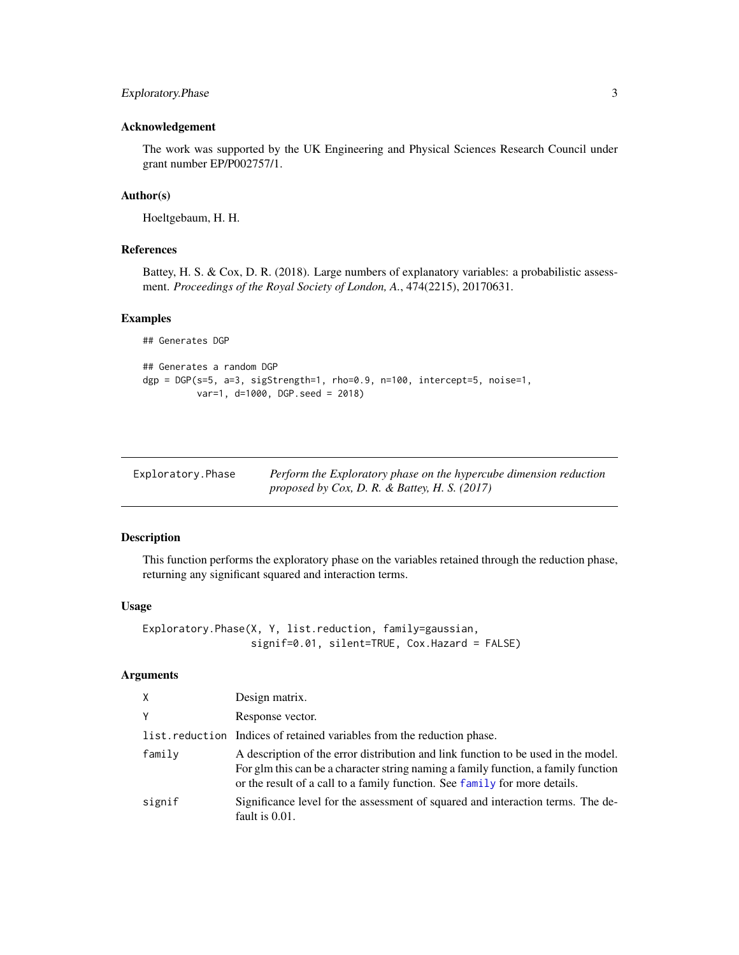#### <span id="page-2-0"></span>Exploratory.Phase 3

#### Acknowledgement

The work was supported by the UK Engineering and Physical Sciences Research Council under grant number EP/P002757/1.

#### Author(s)

Hoeltgebaum, H. H.

#### References

Battey, H. S. & Cox, D. R. (2018). Large numbers of explanatory variables: a probabilistic assessment. *Proceedings of the Royal Society of London, A.*, 474(2215), 20170631.

#### Examples

## Generates DGP

```
## Generates a random DGP
dgp = DGP(s=5, a=3, sigStrength=1, rho=0.9, n=100, intercept=5, noise=1,
         var=1, d=1000, DGP.seed = 2018)
```
<span id="page-2-1"></span>

| Exploratory.Phase | Perform the Exploratory phase on the hypercube dimension reduction |
|-------------------|--------------------------------------------------------------------|
|                   | proposed by Cox, D. R. & Battey, H. S. $(2017)$                    |

#### Description

This function performs the exploratory phase on the variables retained through the reduction phase, returning any significant squared and interaction terms.

#### Usage

```
Exploratory.Phase(X, Y, list.reduction, family=gaussian,
                  signif=0.01, silent=TRUE, Cox.Hazard = FALSE)
```
#### Arguments

| X      | Design matrix.                                                                                                                                                                                                                                         |
|--------|--------------------------------------------------------------------------------------------------------------------------------------------------------------------------------------------------------------------------------------------------------|
| Y      | Response vector.                                                                                                                                                                                                                                       |
|        | list. reduction Indices of retained variables from the reduction phase.                                                                                                                                                                                |
| family | A description of the error distribution and link function to be used in the model.<br>For glm this can be a character string naming a family function, a family function<br>or the result of a call to a family function. See family for more details. |
| signif | Significance level for the assessment of squared and interaction terms. The de-<br>fault is 0.01.                                                                                                                                                      |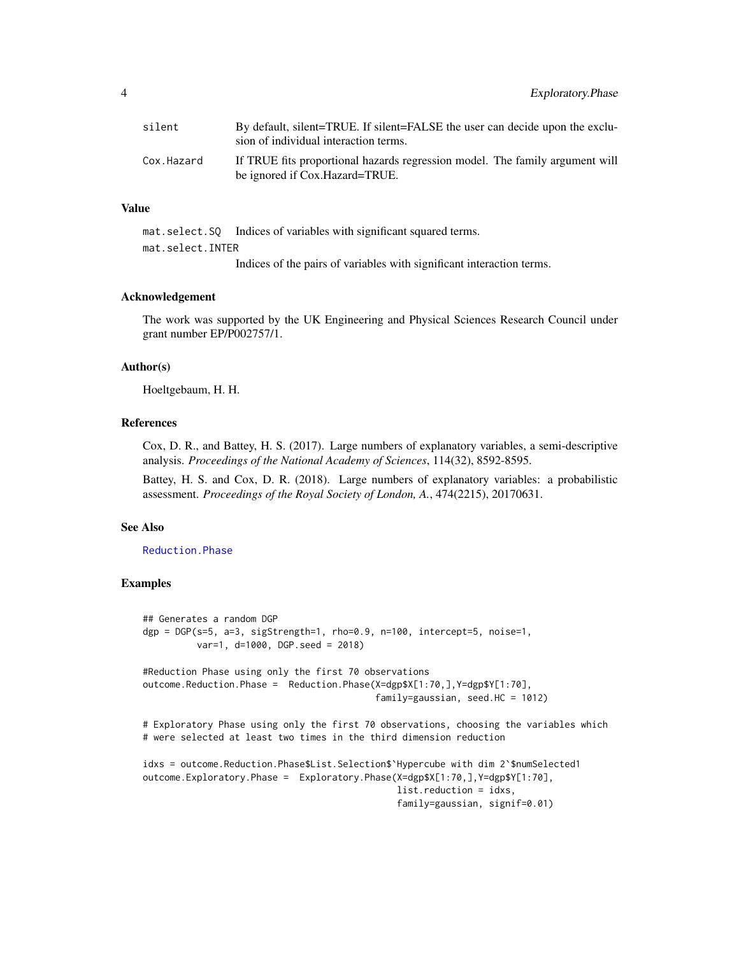<span id="page-3-0"></span>

| silent     | By default, silent=TRUE. If silent=FALSE the user can decide upon the exclu-<br>sion of individual interaction terms. |
|------------|-----------------------------------------------------------------------------------------------------------------------|
| Cox.Hazard | If TRUE fits proportional hazards regression model. The family argument will<br>be ignored if Cox.Hazard=TRUE.        |

#### Value

mat.select.SQ Indices of variables with significant squared terms. mat.select.INTER Indices of the pairs of variables with significant interaction terms.

#### Acknowledgement

The work was supported by the UK Engineering and Physical Sciences Research Council under grant number EP/P002757/1.

#### Author(s)

Hoeltgebaum, H. H.

#### References

Cox, D. R., and Battey, H. S. (2017). Large numbers of explanatory variables, a semi-descriptive analysis. *Proceedings of the National Academy of Sciences*, 114(32), 8592-8595.

Battey, H. S. and Cox, D. R. (2018). Large numbers of explanatory variables: a probabilistic assessment. *Proceedings of the Royal Society of London, A.*, 474(2215), 20170631.

#### See Also

[Reduction.Phase](#page-6-1)

#### Examples

```
## Generates a random DGP
dgp = DGP(s=5, a=3, sigStrength=1, rho=0.9, n=100, intercept=5, noise=1,
         var=1, d=1000, DGP.seed = 2018)
#Reduction Phase using only the first 70 observations
outcome.Reduction.Phase = Reduction.Phase(X=dgp$X[1:70,],Y=dgp$Y[1:70],
                                           family=gaussian, seed.HC = 1012)
# Exploratory Phase using only the first 70 observations, choosing the variables which
# were selected at least two times in the third dimension reduction
idxs = outcome.Reduction.Phase$List.Selection$`Hypercube with dim 2`$numSelected1
outcome.Exploratory.Phase = Exploratory.Phase(X=dgp$X[1:70,],Y=dgp$Y[1:70],
                                               list.reduction = idxs,
                                               family=gaussian, signif=0.01)
```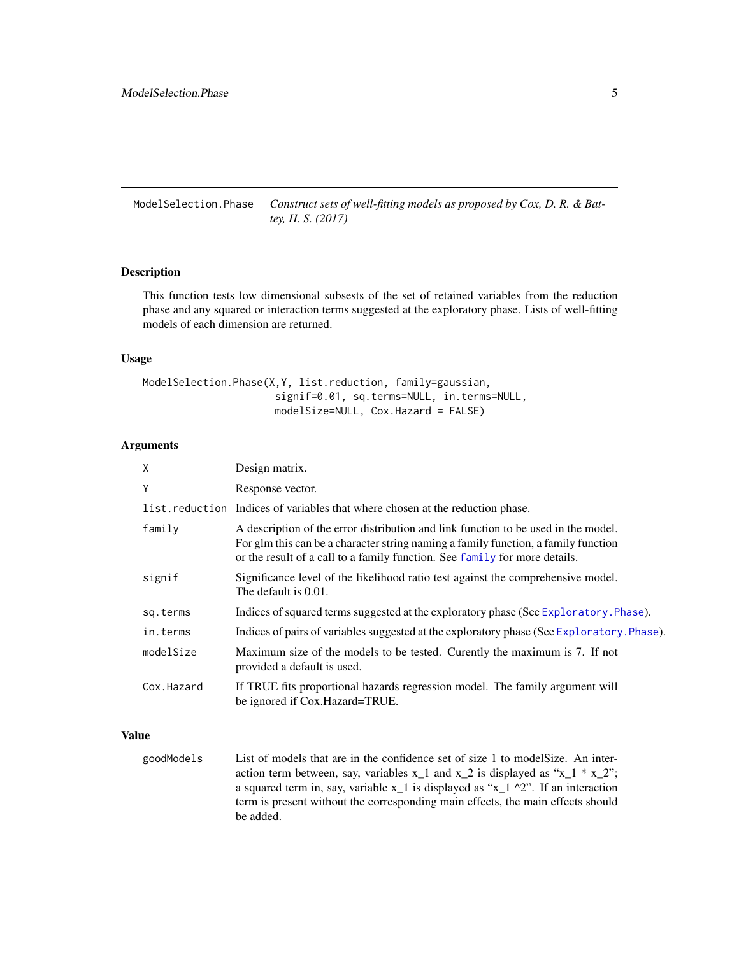<span id="page-4-0"></span>ModelSelection.Phase *Construct sets of well-fitting models as proposed by Cox, D. R. & Battey, H. S. (2017)*

#### Description

This function tests low dimensional subsests of the set of retained variables from the reduction phase and any squared or interaction terms suggested at the exploratory phase. Lists of well-fitting models of each dimension are returned.

#### Usage

```
ModelSelection.Phase(X,Y, list.reduction, family=gaussian,
                      signif=0.01, sq.terms=NULL, in.terms=NULL,
                      modelSize=NULL, Cox.Hazard = FALSE)
```
#### **Arguments**

| X          | Design matrix.                                                                                                                                                                                                                                         |
|------------|--------------------------------------------------------------------------------------------------------------------------------------------------------------------------------------------------------------------------------------------------------|
| Υ          | Response vector.                                                                                                                                                                                                                                       |
|            | list.reduction Indices of variables that where chosen at the reduction phase.                                                                                                                                                                          |
| family     | A description of the error distribution and link function to be used in the model.<br>For glm this can be a character string naming a family function, a family function<br>or the result of a call to a family function. See family for more details. |
| signif     | Significance level of the likelihood ratio test against the comprehensive model.<br>The default is 0.01.                                                                                                                                               |
| sq.terms   | Indices of squared terms suggested at the exploratory phase (See Exploratory . Phase).                                                                                                                                                                 |
| in.terms   | Indices of pairs of variables suggested at the exploratory phase (See Exploratory Phase).                                                                                                                                                              |
| modelSize  | Maximum size of the models to be tested. Curently the maximum is 7. If not<br>provided a default is used.                                                                                                                                              |
| Cox.Hazard | If TRUE fits proportional hazards regression model. The family argument will<br>be ignored if Cox.Hazard=TRUE.                                                                                                                                         |

#### Value

goodModels List of models that are in the confidence set of size 1 to modelSize. An interaction term between, say, variables  $x_1$  and  $x_2$  is displayed as " $x_1$  \*  $x_2$ "; a squared term in, say, variable  $x_1$  is displayed as " $x_1 \wedge 2$ ". If an interaction term is present without the corresponding main effects, the main effects should be added.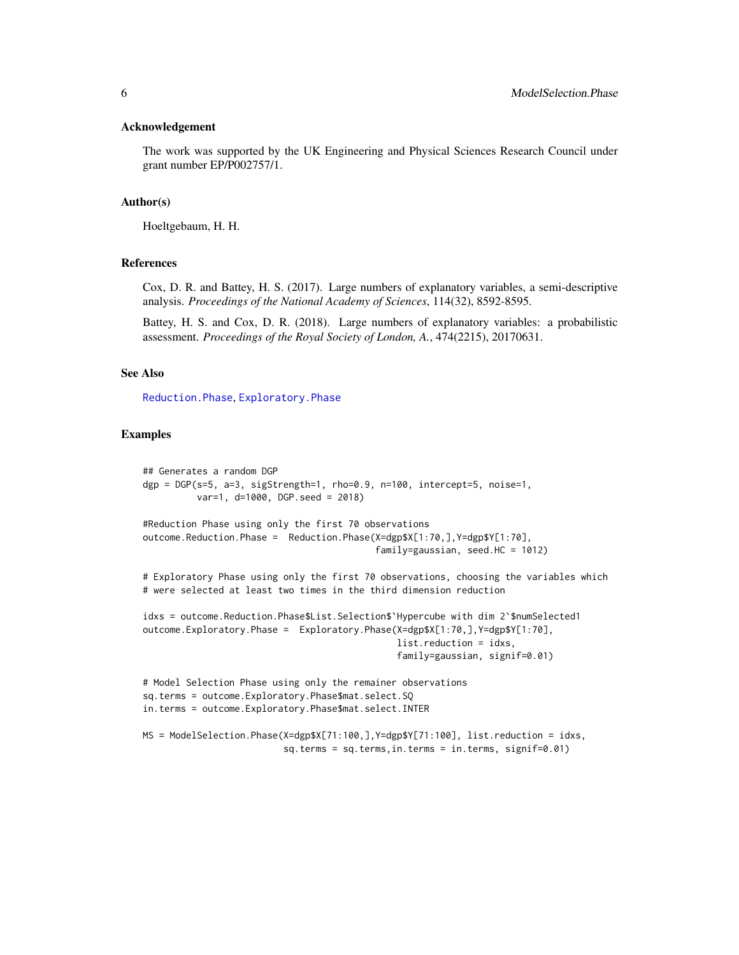#### <span id="page-5-0"></span>Acknowledgement

The work was supported by the UK Engineering and Physical Sciences Research Council under grant number EP/P002757/1.

#### Author(s)

Hoeltgebaum, H. H.

#### References

Cox, D. R. and Battey, H. S. (2017). Large numbers of explanatory variables, a semi-descriptive analysis. *Proceedings of the National Academy of Sciences*, 114(32), 8592-8595.

Battey, H. S. and Cox, D. R. (2018). Large numbers of explanatory variables: a probabilistic assessment. *Proceedings of the Royal Society of London, A.*, 474(2215), 20170631.

#### See Also

[Reduction.Phase](#page-6-1), [Exploratory.Phase](#page-2-1)

#### Examples

```
## Generates a random DGP
dgp = DGP(s=5, a=3, sigStrength=1, rho=0.9, n=100, intercept=5, noise=1,
          var=1, d=1000, DGP.seed = 2018)
#Reduction Phase using only the first 70 observations
outcome.Reduction.Phase = Reduction.Phase(X=dgp$X[1:70,],Y=dgp$Y[1:70],
                                           family=gaussian, seed.HC = 1012)
# Exploratory Phase using only the first 70 observations, choosing the variables which
# were selected at least two times in the third dimension reduction
idxs = outcome.Reduction.Phase$List.Selection$`Hypercube with dim 2`$numSelected1
outcome.Exploratory.Phase = Exploratory.Phase(X=dgp$X[1:70,],Y=dgp$Y[1:70],
                                               list.reduction = idxs,
                                               family=gaussian, signif=0.01)
# Model Selection Phase using only the remainer observations
sq.terms = outcome.Exploratory.Phase$mat.select.SQ
in.terms = outcome.Exploratory.Phase$mat.select.INTER
MS = ModelSelection.Phase(X=dgp$X[71:100,],Y=dgp$Y[71:100], list.reduction = idxs,
                          sq.terms = sq.terms,in.terms = in.terms, signif=0.01)
```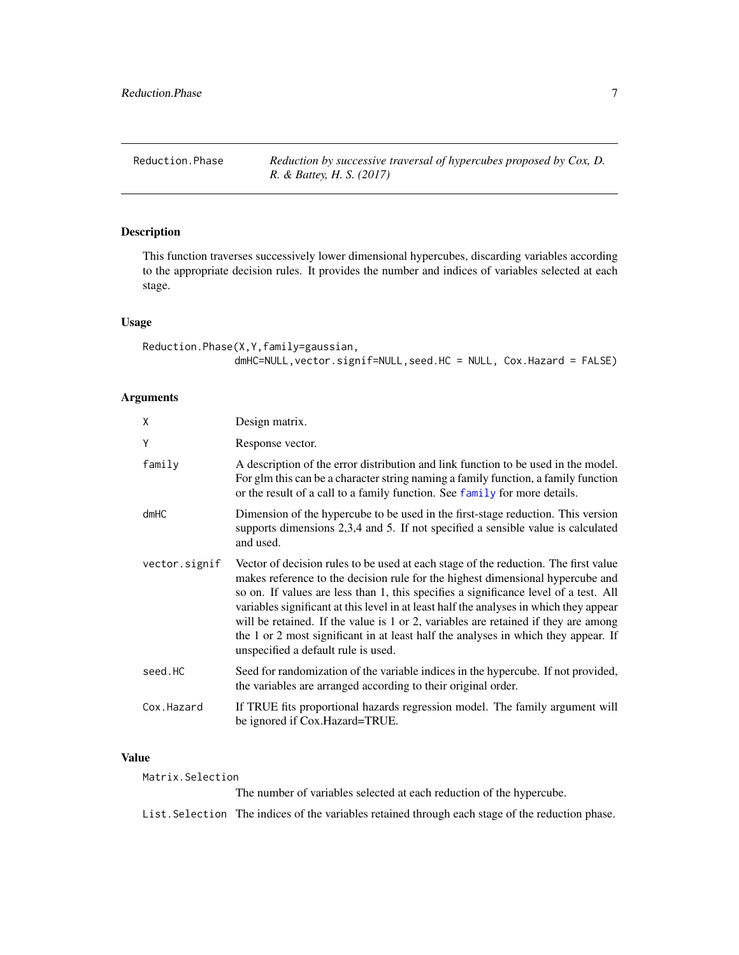<span id="page-6-1"></span><span id="page-6-0"></span>Reduction.Phase *Reduction by successive traversal of hypercubes proposed by Cox, D. R. & Battey, H. S. (2017)*

#### Description

This function traverses successively lower dimensional hypercubes, discarding variables according to the appropriate decision rules. It provides the number and indices of variables selected at each stage.

#### Usage

```
Reduction.Phase(X,Y,family=gaussian,
               dmHC=NULL,vector.signif=NULL,seed.HC = NULL, Cox.Hazard = FALSE)
```
#### Arguments

| X             | Design matrix.                                                                                                                                                                                                                                                                                                                                                                                                                                                                                                                                                             |
|---------------|----------------------------------------------------------------------------------------------------------------------------------------------------------------------------------------------------------------------------------------------------------------------------------------------------------------------------------------------------------------------------------------------------------------------------------------------------------------------------------------------------------------------------------------------------------------------------|
| Y             | Response vector.                                                                                                                                                                                                                                                                                                                                                                                                                                                                                                                                                           |
| family        | A description of the error distribution and link function to be used in the model.<br>For glm this can be a character string naming a family function, a family function<br>or the result of a call to a family function. See family for more details.                                                                                                                                                                                                                                                                                                                     |
| dmHC          | Dimension of the hypercube to be used in the first-stage reduction. This version<br>supports dimensions 2,3,4 and 5. If not specified a sensible value is calculated<br>and used.                                                                                                                                                                                                                                                                                                                                                                                          |
| vector.signif | Vector of decision rules to be used at each stage of the reduction. The first value<br>makes reference to the decision rule for the highest dimensional hypercube and<br>so on. If values are less than 1, this specifies a significance level of a test. All<br>variables significant at this level in at least half the analyses in which they appear<br>will be retained. If the value is 1 or 2, variables are retained if they are among<br>the 1 or 2 most significant in at least half the analyses in which they appear. If<br>unspecified a default rule is used. |
| seed.HC       | Seed for randomization of the variable indices in the hypercube. If not provided,<br>the variables are arranged according to their original order.                                                                                                                                                                                                                                                                                                                                                                                                                         |
| Cox.Hazard    | If TRUE fits proportional hazards regression model. The family argument will<br>be ignored if Cox.Hazard=TRUE.                                                                                                                                                                                                                                                                                                                                                                                                                                                             |

#### Value

Matrix.Selection

The number of variables selected at each reduction of the hypercube.

List.Selection The indices of the variables retained through each stage of the reduction phase.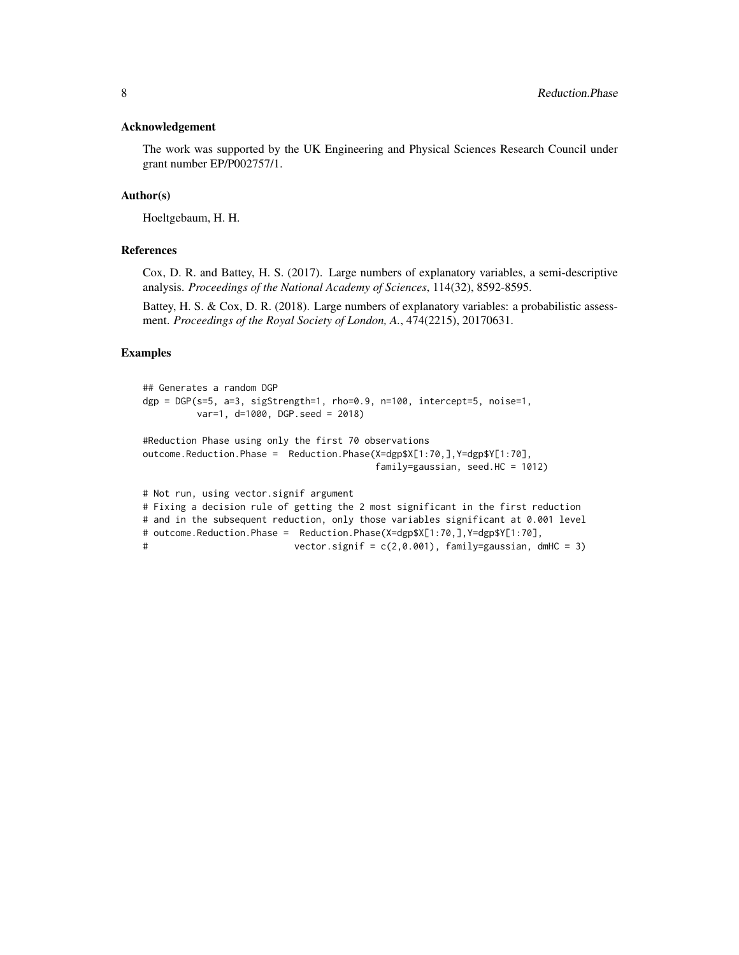#### Acknowledgement

The work was supported by the UK Engineering and Physical Sciences Research Council under grant number EP/P002757/1.

#### Author(s)

Hoeltgebaum, H. H.

#### References

Cox, D. R. and Battey, H. S. (2017). Large numbers of explanatory variables, a semi-descriptive analysis. *Proceedings of the National Academy of Sciences*, 114(32), 8592-8595.

Battey, H. S. & Cox, D. R. (2018). Large numbers of explanatory variables: a probabilistic assessment. *Proceedings of the Royal Society of London, A.*, 474(2215), 20170631.

#### Examples

```
## Generates a random DGP
dgp = DGP(s=5, a=3, sigStrength=1, rho=0.9, n=100, intercept=5, noise=1,
         var=1, d=1000, DGP.seed = 2018)
#Reduction Phase using only the first 70 observations
outcome.Reduction.Phase = Reduction.Phase(X=dgp$X[1:70,],Y=dgp$Y[1:70],
                                         family=gaussian, seed.HC = 1012)
# Not run, using vector.signif argument
# Fixing a decision rule of getting the 2 most significant in the first reduction
# and in the subsequent reduction, only those variables significant at 0.001 level
# outcome.Reduction.Phase = Reduction.Phase(X=dgp$X[1:70,],Y=dgp$Y[1:70],
# vector.signif = c(2,0.001), family=gaussian, dmHC = 3)
```